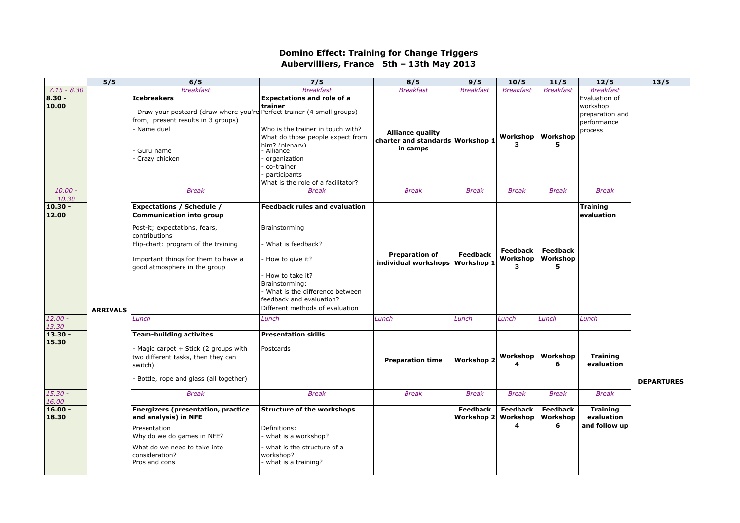## **Domino Effect: Training for Change Triggers Aubervilliers, France 5th – 13th May 2013**

|                                          | 5/5             | 6/5                                                                                                                                                                                                                                          | 7/5                                                                                                                                                                                                                                                       | 8/5                                                                                     | 9/5                                           | 10/5                                      | 11/5                                      | 12/5                                                                                   | 13/5              |
|------------------------------------------|-----------------|----------------------------------------------------------------------------------------------------------------------------------------------------------------------------------------------------------------------------------------------|-----------------------------------------------------------------------------------------------------------------------------------------------------------------------------------------------------------------------------------------------------------|-----------------------------------------------------------------------------------------|-----------------------------------------------|-------------------------------------------|-------------------------------------------|----------------------------------------------------------------------------------------|-------------------|
| $7.15 - 8.30$                            |                 | <b>Breakfast</b>                                                                                                                                                                                                                             | <b>Breakfast</b>                                                                                                                                                                                                                                          | <b>Breakfast</b>                                                                        | <b>Breakfast</b>                              | <b>Breakfast</b>                          | <b>Breakfast</b>                          | <b>Breakfast</b>                                                                       |                   |
| 8.30 -<br>10.00<br>$10.00 -$             |                 | <b>Icebreakers</b><br>Draw your postcard (draw where you're Perfect trainer (4 small groups)<br>from, present results in 3 groups)<br>Name duel<br>Guru name<br>Crazy chicken<br><b>Break</b>                                                | <b>Expectations and role of a</b><br>trainer<br>Who is the trainer in touch with?<br>What do those people expect from<br>him? (plenary)<br>- Alliance<br>organization<br>co-trainer<br>participants<br>What is the role of a facilitator?<br><b>Break</b> | <b>Alliance quality</b><br>charter and standards Workshop 1<br>in camps<br><b>Break</b> | <b>Break</b>                                  | Workshop<br>3<br><b>Break</b>             | Workshop<br>5.<br><b>Break</b>            | Evaluation of<br>workshop<br>preparation and<br>performance<br>process<br><b>Break</b> |                   |
| 10.30                                    |                 |                                                                                                                                                                                                                                              |                                                                                                                                                                                                                                                           |                                                                                         |                                               |                                           |                                           |                                                                                        |                   |
| $10.30 -$<br>12.00<br>$12.00 -$<br>13.30 | <b>ARRIVALS</b> | <b>Expectations / Schedule /</b><br><b>Communication into group</b><br>Post-it; expectations, fears,<br>contributions<br>Flip-chart: program of the training<br>Important things for them to have a<br>good atmosphere in the group<br>Lunch | <b>Feedback rules and evaluation</b><br>Brainstorming<br>What is feedback?<br>- How to give it?<br>- How to take it?<br>Brainstorming:<br>What is the difference between<br>feedback and evaluation?<br>Different methods of evaluation<br>Lunch          | <b>Preparation of</b><br>individual workshops<br>Lunch                                  | <b>Feedback</b><br><b>Workshop 1</b><br>Lunch | <b>Feedback</b><br>Workshop<br>3<br>Lunch | <b>Feedback</b><br>Workshop<br>5<br>Lunch | <b>Training</b><br>evaluation<br>Lunch                                                 |                   |
| $13.30 -$<br>15.30<br>$15.30 -$          |                 | <b>Team-building activites</b><br>Magic carpet + Stick (2 groups with<br>two different tasks, then they can<br>switch)<br>Bottle, rope and glass (all together)<br><b>Break</b>                                                              | <b>Presentation skills</b><br>Postcards<br><b>Break</b>                                                                                                                                                                                                   | <b>Preparation time</b><br><b>Break</b>                                                 | <b>Workshop 2</b><br><b>Break</b>             | Workshop<br>4<br><b>Break</b>             | Workshop<br>6<br><b>Break</b>             | <b>Training</b><br>evaluation<br><b>Break</b>                                          | <b>DEPARTURES</b> |
| 16.00                                    |                 |                                                                                                                                                                                                                                              |                                                                                                                                                                                                                                                           |                                                                                         |                                               |                                           |                                           |                                                                                        |                   |
| $16.00 -$<br>18.30                       |                 | <b>Energizers (presentation, practice</b><br>and analysis) in NFE<br>Presentation<br>Why do we do games in NFE?<br>What do we need to take into<br>consideration?<br>Pros and cons                                                           | <b>Structure of the workshops</b><br>Definitions:<br>what is a workshop?<br>what is the structure of a<br>workshop?<br>what is a training?                                                                                                                |                                                                                         | <b>Feedback</b><br>Workshop 2                 | <b>Feedback</b><br>Workshop<br>4          | Feedback<br>Workshop<br>6                 | <b>Training</b><br>evaluation<br>and follow up                                         |                   |